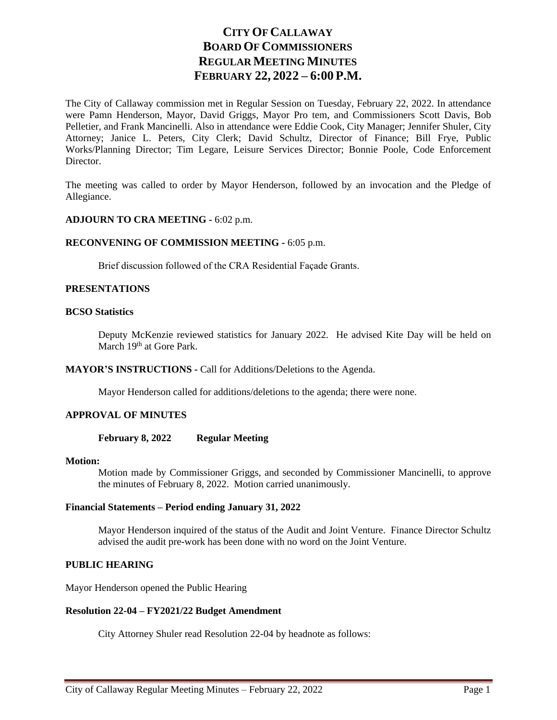# **CITY OF CALLAWAY BOARD OF COMMISSIONERS REGULAR MEETING MINUTES FEBRUARY 22, 2022 – 6:00 P.M.**

The City of Callaway commission met in Regular Session on Tuesday, February 22, 2022. In attendance were Pamn Henderson, Mayor, David Griggs, Mayor Pro tem, and Commissioners Scott Davis, Bob Pelletier, and Frank Mancinelli. Also in attendance were Eddie Cook, City Manager; Jennifer Shuler, City Attorney; Janice L. Peters, City Clerk; David Schultz, Director of Finance; Bill Frye, Public Works/Planning Director; Tim Legare, Leisure Services Director; Bonnie Poole, Code Enforcement Director.

The meeting was called to order by Mayor Henderson, followed by an invocation and the Pledge of Allegiance.

# **ADJOURN TO CRA MEETING -** 6:02 p.m.

# **RECONVENING OF COMMISSION MEETING -** 6:05 p.m.

Brief discussion followed of the CRA Residential Façade Grants.

# **PRESENTATIONS**

# **BCSO Statistics**

Deputy McKenzie reviewed statistics for January 2022. He advised Kite Day will be held on March 19<sup>th</sup> at Gore Park.

**MAYOR'S INSTRUCTIONS -** Call for Additions/Deletions to the Agenda.

Mayor Henderson called for additions/deletions to the agenda; there were none.

# **APPROVAL OF MINUTES**

**February 8, 2022 Regular Meeting**

#### **Motion:**

Motion made by Commissioner Griggs, and seconded by Commissioner Mancinelli, to approve the minutes of February 8, 2022. Motion carried unanimously.

# **Financial Statements – Period ending January 31, 2022**

Mayor Henderson inquired of the status of the Audit and Joint Venture. Finance Director Schultz advised the audit pre-work has been done with no word on the Joint Venture.

# **PUBLIC HEARING**

Mayor Henderson opened the Public Hearing

## **Resolution 22-04 – FY2021/22 Budget Amendment**

City Attorney Shuler read Resolution 22-04 by headnote as follows: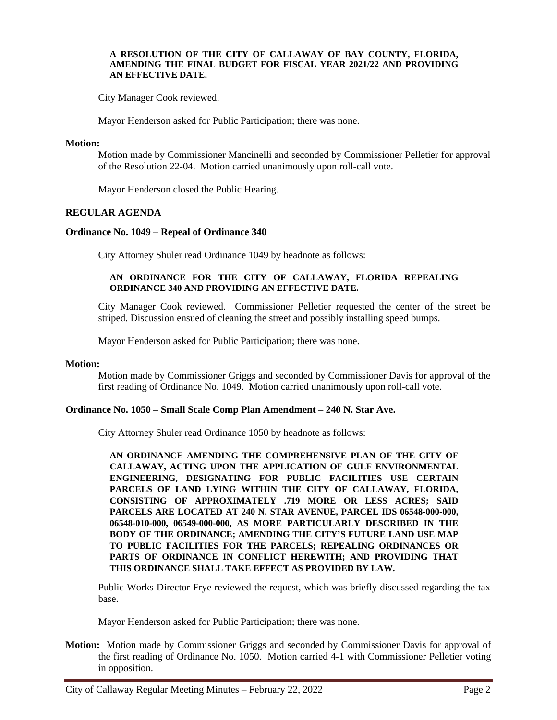#### **A RESOLUTION OF THE CITY OF CALLAWAY OF BAY COUNTY, FLORIDA, AMENDING THE FINAL BUDGET FOR FISCAL YEAR 2021/22 AND PROVIDING AN EFFECTIVE DATE.**

City Manager Cook reviewed.

Mayor Henderson asked for Public Participation; there was none.

#### **Motion:**

Motion made by Commissioner Mancinelli and seconded by Commissioner Pelletier for approval of the Resolution 22-04. Motion carried unanimously upon roll-call vote.

Mayor Henderson closed the Public Hearing.

# **REGULAR AGENDA**

# **Ordinance No. 1049 – Repeal of Ordinance 340**

City Attorney Shuler read Ordinance 1049 by headnote as follows:

# **AN ORDINANCE FOR THE CITY OF CALLAWAY, FLORIDA REPEALING ORDINANCE 340 AND PROVIDING AN EFFECTIVE DATE.**

City Manager Cook reviewed. Commissioner Pelletier requested the center of the street be striped. Discussion ensued of cleaning the street and possibly installing speed bumps.

Mayor Henderson asked for Public Participation; there was none.

#### **Motion:**

Motion made by Commissioner Griggs and seconded by Commissioner Davis for approval of the first reading of Ordinance No. 1049. Motion carried unanimously upon roll-call vote.

## **Ordinance No. 1050 – Small Scale Comp Plan Amendment – 240 N. Star Ave.**

City Attorney Shuler read Ordinance 1050 by headnote as follows:

**AN ORDINANCE AMENDING THE COMPREHENSIVE PLAN OF THE CITY OF CALLAWAY, ACTING UPON THE APPLICATION OF GULF ENVIRONMENTAL ENGINEERING, DESIGNATING FOR PUBLIC FACILITIES USE CERTAIN PARCELS OF LAND LYING WITHIN THE CITY OF CALLAWAY, FLORIDA, CONSISTING OF APPROXIMATELY .719 MORE OR LESS ACRES; SAID PARCELS ARE LOCATED AT 240 N. STAR AVENUE, PARCEL IDS 06548-000-000, 06548-010-000, 06549-000-000, AS MORE PARTICULARLY DESCRIBED IN THE BODY OF THE ORDINANCE; AMENDING THE CITY'S FUTURE LAND USE MAP TO PUBLIC FACILITIES FOR THE PARCELS; REPEALING ORDINANCES OR PARTS OF ORDINANCE IN CONFLICT HEREWITH; AND PROVIDING THAT THIS ORDINANCE SHALL TAKE EFFECT AS PROVIDED BY LAW.**

Public Works Director Frye reviewed the request, which was briefly discussed regarding the tax base.

Mayor Henderson asked for Public Participation; there was none.

**Motion:** Motion made by Commissioner Griggs and seconded by Commissioner Davis for approval of the first reading of Ordinance No. 1050. Motion carried 4-1 with Commissioner Pelletier voting in opposition.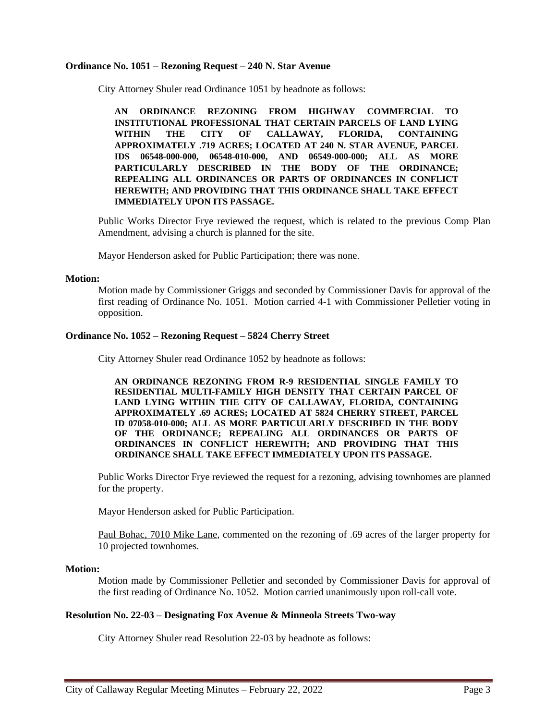#### **Ordinance No. 1051 – Rezoning Request – 240 N. Star Avenue**

City Attorney Shuler read Ordinance 1051 by headnote as follows:

**AN ORDINANCE REZONING FROM HIGHWAY COMMERCIAL TO INSTITUTIONAL PROFESSIONAL THAT CERTAIN PARCELS OF LAND LYING WITHIN THE CITY OF CALLAWAY, FLORIDA, CONTAINING APPROXIMATELY .719 ACRES; LOCATED AT 240 N. STAR AVENUE, PARCEL IDS 06548-000-000, 06548-010-000, AND 06549-000-000; ALL AS MORE PARTICULARLY DESCRIBED IN THE BODY OF THE ORDINANCE; REPEALING ALL ORDINANCES OR PARTS OF ORDINANCES IN CONFLICT HEREWITH; AND PROVIDING THAT THIS ORDINANCE SHALL TAKE EFFECT IMMEDIATELY UPON ITS PASSAGE.**

Public Works Director Frye reviewed the request, which is related to the previous Comp Plan Amendment, advising a church is planned for the site.

Mayor Henderson asked for Public Participation; there was none.

#### **Motion:**

Motion made by Commissioner Griggs and seconded by Commissioner Davis for approval of the first reading of Ordinance No. 1051. Motion carried 4-1 with Commissioner Pelletier voting in opposition.

# **Ordinance No. 1052 – Rezoning Request – 5824 Cherry Street**

City Attorney Shuler read Ordinance 1052 by headnote as follows:

**AN ORDINANCE REZONING FROM R-9 RESIDENTIAL SINGLE FAMILY TO RESIDENTIAL MULTI-FAMILY HIGH DENSITY THAT CERTAIN PARCEL OF LAND LYING WITHIN THE CITY OF CALLAWAY, FLORIDA, CONTAINING APPROXIMATELY .69 ACRES; LOCATED AT 5824 CHERRY STREET, PARCEL ID 07058-010-000; ALL AS MORE PARTICULARLY DESCRIBED IN THE BODY OF THE ORDINANCE; REPEALING ALL ORDINANCES OR PARTS OF ORDINANCES IN CONFLICT HEREWITH; AND PROVIDING THAT THIS ORDINANCE SHALL TAKE EFFECT IMMEDIATELY UPON ITS PASSAGE.**

Public Works Director Frye reviewed the request for a rezoning, advising townhomes are planned for the property.

Mayor Henderson asked for Public Participation.

Paul Bohac, 7010 Mike Lane, commented on the rezoning of .69 acres of the larger property for 10 projected townhomes.

#### **Motion:**

Motion made by Commissioner Pelletier and seconded by Commissioner Davis for approval of the first reading of Ordinance No. 1052. Motion carried unanimously upon roll-call vote.

# **Resolution No. 22-03 – Designating Fox Avenue & Minneola Streets Two-way**

City Attorney Shuler read Resolution 22-03 by headnote as follows: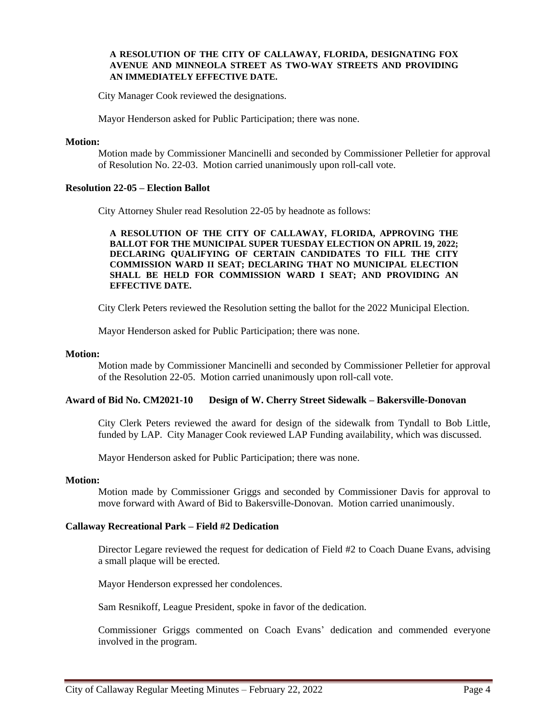# **A RESOLUTION OF THE CITY OF CALLAWAY, FLORIDA, DESIGNATING FOX AVENUE AND MINNEOLA STREET AS TWO-WAY STREETS AND PROVIDING AN IMMEDIATELY EFFECTIVE DATE.**

City Manager Cook reviewed the designations.

Mayor Henderson asked for Public Participation; there was none.

#### **Motion:**

Motion made by Commissioner Mancinelli and seconded by Commissioner Pelletier for approval of Resolution No. 22-03. Motion carried unanimously upon roll-call vote.

# **Resolution 22-05 – Election Ballot**

City Attorney Shuler read Resolution 22-05 by headnote as follows:

**A RESOLUTION OF THE CITY OF CALLAWAY, FLORIDA, APPROVING THE BALLOT FOR THE MUNICIPAL SUPER TUESDAY ELECTION ON APRIL 19, 2022; DECLARING QUALIFYING OF CERTAIN CANDIDATES TO FILL THE CITY COMMISSION WARD II SEAT; DECLARING THAT NO MUNICIPAL ELECTION SHALL BE HELD FOR COMMISSION WARD I SEAT; AND PROVIDING AN EFFECTIVE DATE.**

City Clerk Peters reviewed the Resolution setting the ballot for the 2022 Municipal Election.

Mayor Henderson asked for Public Participation; there was none.

# **Motion:**

Motion made by Commissioner Mancinelli and seconded by Commissioner Pelletier for approval of the Resolution 22-05. Motion carried unanimously upon roll-call vote.

# **Award of Bid No. CM2021-10 Design of W. Cherry Street Sidewalk – Bakersville-Donovan**

City Clerk Peters reviewed the award for design of the sidewalk from Tyndall to Bob Little, funded by LAP. City Manager Cook reviewed LAP Funding availability, which was discussed.

Mayor Henderson asked for Public Participation; there was none.

#### **Motion:**

Motion made by Commissioner Griggs and seconded by Commissioner Davis for approval to move forward with Award of Bid to Bakersville-Donovan. Motion carried unanimously.

# **Callaway Recreational Park – Field #2 Dedication**

Director Legare reviewed the request for dedication of Field #2 to Coach Duane Evans, advising a small plaque will be erected.

Mayor Henderson expressed her condolences.

Sam Resnikoff, League President, spoke in favor of the dedication.

Commissioner Griggs commented on Coach Evans' dedication and commended everyone involved in the program.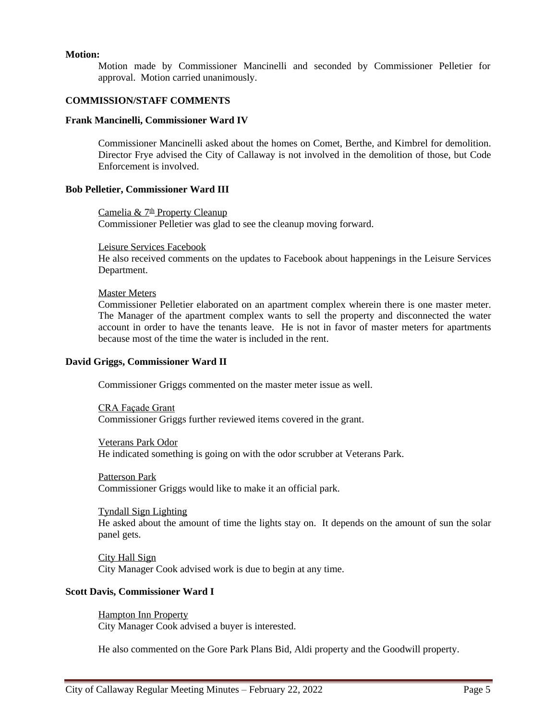# **Motion:**

Motion made by Commissioner Mancinelli and seconded by Commissioner Pelletier for approval. Motion carried unanimously.

# **COMMISSION/STAFF COMMENTS**

#### **Frank Mancinelli, Commissioner Ward IV**

Commissioner Mancinelli asked about the homes on Comet, Berthe, and Kimbrel for demolition. Director Frye advised the City of Callaway is not involved in the demolition of those, but Code Enforcement is involved.

# **Bob Pelletier, Commissioner Ward III**

Camelia &  $7<sup>th</sup>$  Property Cleanup Commissioner Pelletier was glad to see the cleanup moving forward.

#### Leisure Services Facebook

He also received comments on the updates to Facebook about happenings in the Leisure Services Department.

#### Master Meters

Commissioner Pelletier elaborated on an apartment complex wherein there is one master meter. The Manager of the apartment complex wants to sell the property and disconnected the water account in order to have the tenants leave. He is not in favor of master meters for apartments because most of the time the water is included in the rent.

#### **David Griggs, Commissioner Ward II**

Commissioner Griggs commented on the master meter issue as well.

CRA Façade Grant Commissioner Griggs further reviewed items covered in the grant.

Veterans Park Odor He indicated something is going on with the odor scrubber at Veterans Park.

Patterson Park Commissioner Griggs would like to make it an official park.

Tyndall Sign Lighting He asked about the amount of time the lights stay on. It depends on the amount of sun the solar panel gets.

City Hall Sign City Manager Cook advised work is due to begin at any time.

# **Scott Davis, Commissioner Ward I**

Hampton Inn Property City Manager Cook advised a buyer is interested.

He also commented on the Gore Park Plans Bid, Aldi property and the Goodwill property.